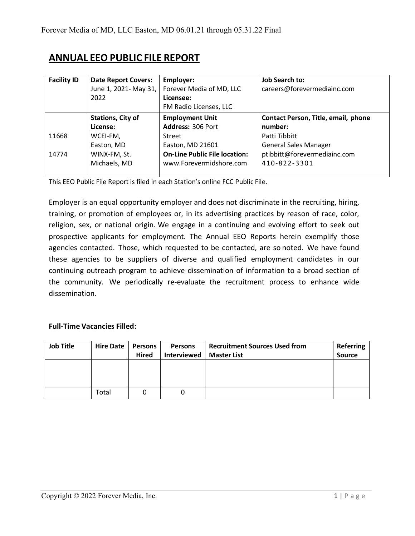# **ANNUAL EEO PUBLIC FILE REPORT**

| <b>Facility ID</b> | <b>Date Report Covers:</b><br>June 1, 2021- May 31,<br>2022 | Employer:<br>Forever Media of MD, LLC<br>Licensee:<br>FM Radio Licenses, LLC | <b>Job Search to:</b><br>careers@forevermediainc.com |
|--------------------|-------------------------------------------------------------|------------------------------------------------------------------------------|------------------------------------------------------|
|                    | <b>Stations, City of</b>                                    | <b>Employment Unit</b>                                                       | Contact Person, Title, email, phone                  |
|                    | License:                                                    | Address: 306 Port                                                            | number:                                              |
| 11668              | WCEI-FM,                                                    | Street                                                                       | Patti Tibbitt                                        |
|                    | Easton, MD                                                  | Easton, MD 21601                                                             | <b>General Sales Manager</b>                         |
| 14774              | WINX-FM, St.                                                | <b>On-Line Public File location:</b>                                         | ptibbitt@forevermediainc.com                         |
|                    | Michaels, MD                                                | www.Forevermidshore.com                                                      | 410-822-3301                                         |
|                    |                                                             |                                                                              |                                                      |

This EEO Public File Report is filed in each Station's online FCC Public File.

Employer is an equal opportunity employer and does not discriminate in the recruiting, hiring, training, or promotion of employees or, in its advertising practices by reason of race, color, religion, sex, or national origin. We engage in a continuing and evolving effort to seek out prospective applicants for employment. The Annual EEO Reports herein exemplify those agencies contacted. Those, which requested to be contacted, are so noted. We have found these agencies to be suppliers of diverse and qualified employment candidates in our continuing outreach program to achieve dissemination of information to a broad section of the community. We periodically re-evaluate the recruitment process to enhance wide dissemination.

#### **Full-Time Vacancies Filled:**

| <b>Job Title</b> | <b>Hire Date</b> | Persons | <b>Persons</b> | <b>Recruitment Sources Used from</b> | <b>Referring</b> |
|------------------|------------------|---------|----------------|--------------------------------------|------------------|
|                  |                  | Hired   | Interviewed    | <b>Master List</b>                   | Source           |
|                  |                  |         |                |                                      |                  |
|                  |                  |         |                |                                      |                  |
|                  |                  |         |                |                                      |                  |
|                  | Total            |         | 0              |                                      |                  |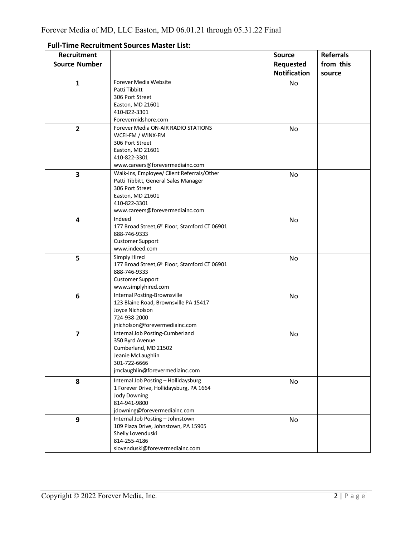| Recruitment             |                                                                | <b>Source</b>       | <b>Referrals</b> |
|-------------------------|----------------------------------------------------------------|---------------------|------------------|
|                         |                                                                |                     |                  |
| <b>Source Number</b>    |                                                                | Requested           | from this        |
|                         |                                                                | <b>Notification</b> | source           |
| $\mathbf{1}$            | Forever Media Website                                          | No                  |                  |
|                         | Patti Tibbitt                                                  |                     |                  |
|                         | 306 Port Street                                                |                     |                  |
|                         | Easton, MD 21601                                               |                     |                  |
|                         | 410-822-3301                                                   |                     |                  |
|                         | Forevermidshore.com                                            |                     |                  |
| $\overline{2}$          | Forever Media ON-AIR RADIO STATIONS                            | No                  |                  |
|                         | WCEI-FM / WINX-FM                                              |                     |                  |
|                         | 306 Port Street                                                |                     |                  |
|                         | Easton, MD 21601                                               |                     |                  |
|                         | 410-822-3301                                                   |                     |                  |
|                         | www.careers@forevermediainc.com                                |                     |                  |
| $\overline{\mathbf{3}}$ | Walk-Ins, Employee/ Client Referrals/Other                     | No                  |                  |
|                         | Patti Tibbitt, General Sales Manager                           |                     |                  |
|                         | 306 Port Street                                                |                     |                  |
|                         | Easton, MD 21601                                               |                     |                  |
|                         | 410-822-3301                                                   |                     |                  |
|                         | www.careers@forevermediainc.com                                |                     |                  |
| 4                       | Indeed                                                         | No                  |                  |
|                         | 177 Broad Street, 6th Floor, Stamford CT 06901<br>888-746-9333 |                     |                  |
|                         |                                                                |                     |                  |
|                         | <b>Customer Support</b><br>www.indeed.com                      |                     |                  |
|                         | Simply Hired                                                   |                     |                  |
| 5                       | 177 Broad Street, 6th Floor, Stamford CT 06901                 | No                  |                  |
|                         | 888-746-9333                                                   |                     |                  |
|                         | <b>Customer Support</b>                                        |                     |                  |
|                         | www.simplyhired.com                                            |                     |                  |
| 6                       | <b>Internal Posting-Brownsville</b>                            | No                  |                  |
|                         | 123 Blaine Road, Brownsville PA 15417                          |                     |                  |
|                         | Joyce Nicholson                                                |                     |                  |
|                         | 724-938-2000                                                   |                     |                  |
|                         | jnicholson@forevermediainc.com                                 |                     |                  |
| $\overline{7}$          | Internal Job Posting-Cumberland                                | No                  |                  |
|                         | 350 Byrd Avenue                                                |                     |                  |
|                         | Cumberland, MD 21502                                           |                     |                  |
|                         | Jeanie McLaughlin                                              |                     |                  |
|                         | 301-722-6666                                                   |                     |                  |
|                         | jmclaughlin@forevermediainc.com                                |                     |                  |
| 8                       | Internal Job Posting - Hollidaysburg                           | No                  |                  |
|                         | 1 Forever Drive, Hollidaysburg, PA 1664                        |                     |                  |
|                         | <b>Jody Downing</b>                                            |                     |                  |
|                         | 814-941-9800                                                   |                     |                  |
|                         | jdowning@forevermediainc.com                                   |                     |                  |
| 9                       | Internal Job Posting - Johnstown                               | No                  |                  |
|                         | 109 Plaza Drive, Johnstown, PA 15905                           |                     |                  |
|                         | Shelly Lovenduski                                              |                     |                  |
|                         | 814-255-4186                                                   |                     |                  |
|                         | slovenduski@forevermediainc.com                                |                     |                  |

#### **Full-Time Recruitment Sources Master List:**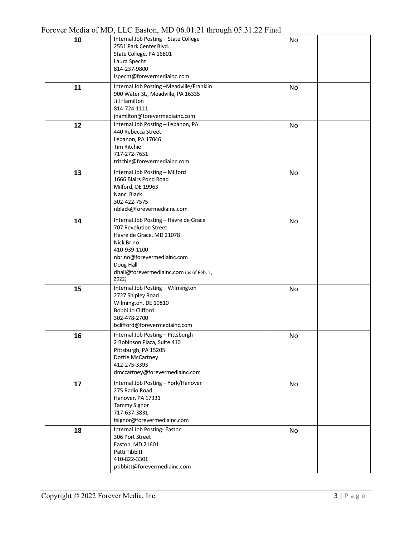|    | $\frac{1}{2}$ of $\frac{1}{2}$ and $\frac{1}{2}$ and $\frac{1}{2}$ and $\frac{1}{2}$ and $\frac{1}{2}$ and $\frac{1}{2}$ and $\frac{1}{2}$ and $\frac{1}{2}$ and $\frac{1}{2}$ and $\frac{1}{2}$ and $\frac{1}{2}$ and $\frac{1}{2}$ and $\frac{1}{2}$ and $\frac{1}{2}$ and $\frac{1}{2}$ an |    |  |
|----|-----------------------------------------------------------------------------------------------------------------------------------------------------------------------------------------------------------------------------------------------------------------------------------------------|----|--|
| 10 | Internal Job Posting - State College<br>2551 Park Center Blvd.<br>State College, PA 16801<br>Laura Specht<br>814-237-9800<br>lspecht@forevermediainc.com                                                                                                                                      | No |  |
| 11 | Internal Job Posting-Meadville/Franklin<br>900 Water St., Meadville, PA 16335<br><b>Jill Hamilton</b><br>814-724-1111<br>jhamilton@forevermediainc.com                                                                                                                                        | No |  |
| 12 | Internal Job Posting - Lebanon, PA<br>440 Rebecca Street<br>Lebanon, PA 17046<br><b>Tim Ritchie</b><br>717-272-7651<br>tritchie@forevermediainc.com                                                                                                                                           | No |  |
| 13 | Internal Job Posting - Milford<br>1666 Blairs Pond Road<br>Milford, DE 19963<br>Nanci Black<br>302-422-7575<br>nblack@forevermediainc.com                                                                                                                                                     | No |  |
| 14 | Internal Job Posting - Havre de Grace<br>707 Revolution Street<br>Havre de Grace, MD 21078<br>Nick Brino<br>410-939-1100<br>nbrino@forevermediainc.com<br>Doug Hall<br>dhall@forevermediainc.com (as of Feb. 1,<br>2022)                                                                      | No |  |
| 15 | Internal Job Posting - Wilmington<br>2727 Shipley Road<br>Wilmington, DE 19810<br>Bobbi Jo Clifford<br>302-478-2700<br>bclifford@forevermediainc.com                                                                                                                                          | No |  |
| 16 | Internal Job Posting - Pittsburgh<br>2 Robinson Plaza, Suite 410<br>Pittsburgh, PA 15205<br>Dottie McCartney<br>412-275-3393<br>dmccartney@forevermediainc.com                                                                                                                                | No |  |
| 17 | Internal Job Posting - York/Hanover<br>275 Radio Road<br>Hanover, PA 17331<br><b>Tammy Signor</b><br>717-637-3831<br>tsignor@forevermediainc.com                                                                                                                                              | No |  |
| 18 | Internal Job Posting-Easton<br>306 Port Street<br>Easton, MD 21601<br>Patti Tibbitt<br>410-822-3301<br>ptibbitt@forevermediainc.com                                                                                                                                                           | No |  |

## Forever Media of MD, LLC Easton, MD 06.01.21 through 05.31.22 Final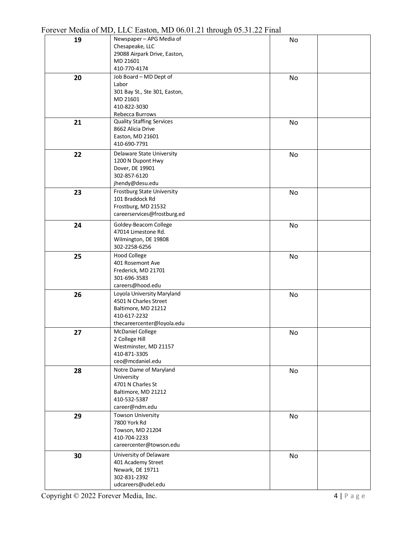| 19 | Newspaper - APG Media of                            | No |
|----|-----------------------------------------------------|----|
|    | Chesapeake, LLC<br>29088 Airpark Drive, Easton,     |    |
|    | MD 21601                                            |    |
|    | 410-770-4174                                        |    |
| 20 | Job Board - MD Dept of                              | No |
|    | Labor                                               |    |
|    | 301 Bay St., Ste 301, Easton,                       |    |
|    | MD 21601                                            |    |
|    | 410-822-3030<br>Rebecca Burrows                     |    |
| 21 | <b>Quality Staffing Services</b>                    | No |
|    | 8662 Alicia Drive                                   |    |
|    | Easton, MD 21601                                    |    |
|    | 410-690-7791                                        |    |
| 22 | Delaware State University                           | No |
|    | 1200 N Dupont Hwy                                   |    |
|    | Dover, DE 19901                                     |    |
|    | 302-857-6120                                        |    |
|    | jhendy@desu.edu                                     |    |
| 23 | Frostburg State University<br>101 Braddock Rd       | No |
|    | Frostburg, MD 21532                                 |    |
|    | careerservices@frostburg.ed                         |    |
| 24 | Goldey-Beacom College                               | No |
|    | 47014 Limestone Rd.                                 |    |
|    | Wilmington, DE 19808                                |    |
|    | 302-2258-6256                                       |    |
| 25 | <b>Hood College</b>                                 | No |
|    | 401 Rosemont Ave                                    |    |
|    | Frederick, MD 21701                                 |    |
|    | 301-696-3583                                        |    |
|    | careers@hood.edu                                    |    |
| 26 | Loyola University Maryland<br>4501 N Charles Street | No |
|    | Baltimore, MD 21212                                 |    |
|    | 410-617-2232                                        |    |
|    | thecareercenter@loyola.edu                          |    |
| 27 | <b>McDaniel College</b>                             | No |
|    | 2 College Hill                                      |    |
|    | Westminster, MD 21157                               |    |
|    | 410-871-3305<br>ceo@mcdaniel.edu                    |    |
|    | Notre Dame of Maryland                              |    |
| 28 | University                                          | No |
|    | 4701 N Charles St                                   |    |
|    | Baltimore, MD 21212                                 |    |
|    | 410-532-5387                                        |    |
|    | career@ndm.edu                                      |    |
| 29 | <b>Towson University</b>                            | No |
|    | 7800 York Rd                                        |    |
|    | Towson, MD 21204<br>410-704-2233                    |    |
|    | careercenter@towson.edu                             |    |
|    | University of Delaware                              |    |
| 30 | 401 Academy Street                                  | No |
|    | Newark, DE 19711                                    |    |
|    | 302-831-2392                                        |    |
|    | udcareers@udel.edu                                  |    |

Forever Media of MD, LLC Easton, MD 06.01.21 through 05.31.22 Final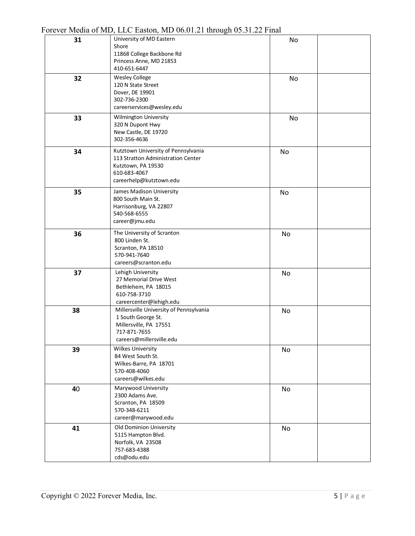|    | $100$ $100$ $100$ $100$ $10$ $100$ $100$<br><u>.</u>                                                                                       |    |
|----|--------------------------------------------------------------------------------------------------------------------------------------------|----|
| 31 | University of MD Eastern<br>Shore<br>11868 College Backbone Rd<br>Princess Anne, MD 21853<br>410-651-6447                                  | No |
| 32 | <b>Wesley College</b><br>120 N State Street<br>Dover, DE 19901<br>302-736-2300<br>careerservices@wesley.edu                                | No |
| 33 | Wilmington University<br>320 N Dupont Hwy<br>New Castle, DE 19720<br>302-356-4636                                                          | No |
| 34 | Kutztown University of Pennsylvania<br>113 Stratton Administration Center<br>Kutztown, PA 19530<br>610-683-4067<br>careerhelp@kutztown.edu | No |
| 35 | James Madison University<br>800 South Main St.<br>Harrisonburg, VA 22807<br>540-568-6555<br>career@jmu.edu                                 | No |
| 36 | The University of Scranton<br>800 Linden St.<br>Scranton, PA 18510<br>570-941-7640<br>careers@scranton.edu                                 | No |
| 37 | Lehigh University<br>27 Memorial Drive West<br>Bethlehem, PA 18015<br>610-758-3710<br>careercenter@lehigh.edu                              | No |
| 38 | Millersville University of Pennsylvania<br>1 South George St.<br>Millersville, PA 17551<br>717-871-7655<br>careers@millersville.edu        | No |
| 39 | <b>Wilkes University</b><br>84 West South St.<br>Wilkes-Barre, PA 18701<br>570-408-4060<br>careers@wilkes.edu                              | No |
| 40 | Marywood University<br>2300 Adams Ave.<br>Scranton, PA 18509<br>570-348-6211<br>career@marywood.edu                                        | No |
| 41 | Old Dominion University<br>5115 Hampton Blvd.<br>Norfolk, VA 23508<br>757-683-4388<br>cds@odu.edu                                          | No |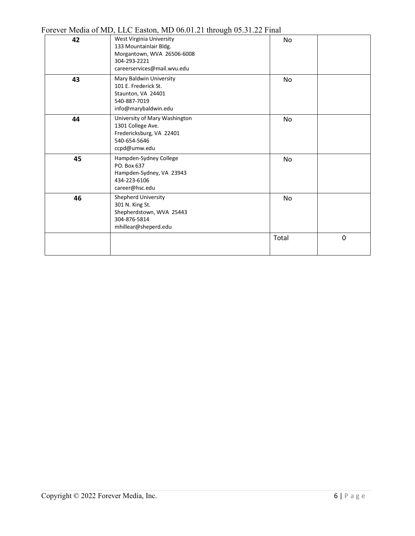|    | 'OLEVEL IVIELIA OI IVID, LLC EASIOII, IVID 00.01.21 UIIOUGII 09.91.22 FIIIAI                                                    |           |             |
|----|---------------------------------------------------------------------------------------------------------------------------------|-----------|-------------|
| 42 | West Virginia University<br>133 Mountainlair Bldg.<br>Morgantown, WVA 26506-6008<br>304-293-2221<br>careerservices@mail.wvu.edu | No.       |             |
| 43 | Mary Baldwin University<br>101 E. Frederick St.<br>Staunton, VA 24401<br>540-887-7019<br>info@marybaldwin.edu                   | No.       |             |
| 44 | University of Mary Washington<br>1301 College Ave.<br>Fredericksburg, VA 22401<br>540-654-5646<br>ccpd@umw.edu                  | No.       |             |
| 45 | Hampden-Sydney College<br>PO. Box 637<br>Hampden-Sydney, VA 23943<br>434-223-6106<br>career@hsc.edu                             | No.       |             |
| 46 | Shepherd University<br>301 N. King St.<br>Shepherdstown, WVA 25443<br>304-876-5814<br>mhillear@sheperd.edu                      | <b>No</b> |             |
|    |                                                                                                                                 | Total     | $\mathbf 0$ |

Forever Media of MD, LLC Easton, MD 06.01.21 through 05.31.22 Final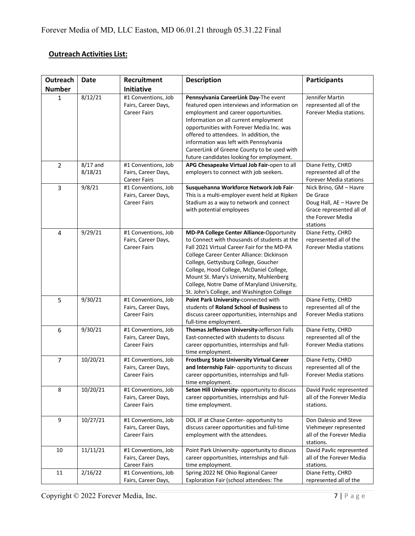## **Outreach Activities List:**

| Outreach                | <b>Date</b>           | Recruitment                                                       | <b>Description</b>                                                                                                                                                                                                                                                                                                                                                                                                | <b>Participants</b>                                                                                                         |
|-------------------------|-----------------------|-------------------------------------------------------------------|-------------------------------------------------------------------------------------------------------------------------------------------------------------------------------------------------------------------------------------------------------------------------------------------------------------------------------------------------------------------------------------------------------------------|-----------------------------------------------------------------------------------------------------------------------------|
| <b>Number</b>           |                       | <b>Initiative</b>                                                 |                                                                                                                                                                                                                                                                                                                                                                                                                   |                                                                                                                             |
| $\mathbf{1}$            | 8/12/21               | #1 Conventions, Job<br>Fairs, Career Days,<br><b>Career Fairs</b> | Pennsylvania CareerLink Day-The event<br>featured open interviews and information on<br>employment and career opportunities.<br>Information on all current employment<br>opportunities with Forever Media Inc. was<br>offered to attendees. In addition, the<br>information was left with Pennsylvania<br>CareerLink of Greene County to be used with<br>future candidates looking for employment.                | Jennifer Martin<br>represented all of the<br>Forever Media stations.                                                        |
| $\overline{2}$          | $8/17$ and<br>8/18/21 | #1 Conventions, Job<br>Fairs, Career Days,<br><b>Career Fairs</b> | APG Chesapeake Virtual Job Fair-open to all<br>employers to connect with job seekers.                                                                                                                                                                                                                                                                                                                             | Diane Fetty, CHRD<br>represented all of the<br><b>Forever Media stations</b>                                                |
| 3                       | 9/8/21                | #1 Conventions, Job<br>Fairs, Career Days,<br><b>Career Fairs</b> | Susquehanna Workforce Network Job Fair-<br>This is a multi-employer event held at Ripken<br>Stadium as a way to network and connect<br>with potential employees                                                                                                                                                                                                                                                   | Nick Brino, GM - Havre<br>De Grace<br>Doug Hall, AE - Havre De<br>Grace represented all of<br>the Forever Media<br>stations |
| $\overline{\mathbf{4}}$ | 9/29/21               | #1 Conventions, Job<br>Fairs, Career Days,<br><b>Career Fairs</b> | MD-PA College Center Alliance-Opportunity<br>to Connect with thousands of students at the<br>Fall 2021 Virtual Career Fair for the MD-PA<br>College Career Center Alliance: Dickinson<br>College, Gettysburg College, Goucher<br>College, Hood College, McDaniel College,<br>Mount St. Mary's University, Muhlenberg<br>College, Notre Dame of Maryland University,<br>St. John's College, and Washington College | Diane Fetty, CHRD<br>represented all of the<br><b>Forever Media stations</b>                                                |
| 5                       | 9/30/21               | #1 Conventions, Job<br>Fairs, Career Days,<br><b>Career Fairs</b> | Point Park University-connected with<br>students of Roland School of Business to<br>discuss career opportunities, internships and<br>full-time employment.                                                                                                                                                                                                                                                        | Diane Fetty, CHRD<br>represented all of the<br><b>Forever Media stations</b>                                                |
| 6                       | 9/30/21               | #1 Conventions, Job<br>Fairs, Career Days,<br><b>Career Fairs</b> | Thomas Jefferson University-Jefferson Falls<br>East-connected with students to discuss<br>career opportunities, internships and full-<br>time employment.                                                                                                                                                                                                                                                         | Diane Fetty, CHRD<br>represented all of the<br><b>Forever Media stations</b>                                                |
| 7                       | 10/20/21              | #1 Conventions, Job<br>Fairs, Career Days,<br><b>Career Fairs</b> | <b>Frostburg State University Virtual Career</b><br>and Internship Fair- opportunity to discuss<br>career opportunities, internships and full-<br>time employment.                                                                                                                                                                                                                                                | Diane Fetty, CHRD<br>represented all of the<br><b>Forever Media stations</b>                                                |
| 8                       | 10/20/21              | #1 Conventions, Job<br>Fairs, Career Days,<br><b>Career Fairs</b> | Seton Hill University- opportunity to discuss<br>career opportunities, internships and full-<br>time employment.                                                                                                                                                                                                                                                                                                  | David Pavlic represented<br>all of the Forever Media<br>stations.                                                           |
| 9                       | 10/27/21              | #1 Conventions, Job<br>Fairs, Career Days,<br><b>Career Fairs</b> | DOL JF at Chase Center- opportunity to<br>discuss career opportunities and full-time<br>employment with the attendees.                                                                                                                                                                                                                                                                                            | Don Dalesio and Steve<br>Viehmeyer represented<br>all of the Forever Media<br>stations.                                     |
| 10                      | 11/11/21              | #1 Conventions, Job<br>Fairs, Career Days,<br><b>Career Fairs</b> | Point Park University- opportunity to discuss<br>career opportunities, internships and full-<br>time employment.                                                                                                                                                                                                                                                                                                  | David Pavlic represented<br>all of the Forever Media<br>stations.                                                           |
| 11                      | 2/16/22               | #1 Conventions, Job<br>Fairs, Career Days,                        | Spring 2022 NE Ohio Regional Career<br>Exploration Fair (school attendees: The                                                                                                                                                                                                                                                                                                                                    | Diane Fetty, CHRD<br>represented all of the                                                                                 |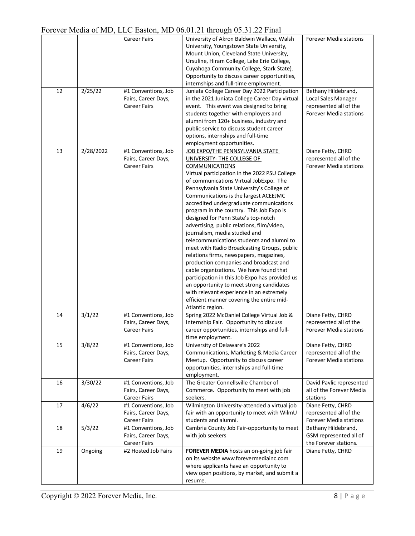|    |           |                     | $\frac{1}{2}$                                  |                               |
|----|-----------|---------------------|------------------------------------------------|-------------------------------|
|    |           | <b>Career Fairs</b> | University of Akron Baldwin Wallace, Walsh     | Forever Media stations        |
|    |           |                     | University, Youngstown State University,       |                               |
|    |           |                     | Mount Union, Cleveland State University,       |                               |
|    |           |                     | Ursuline, Hiram College, Lake Erie College,    |                               |
|    |           |                     | Cuyahoga Community College, Stark State).      |                               |
|    |           |                     | Opportunity to discuss career opportunities,   |                               |
|    |           |                     |                                                |                               |
|    |           |                     | internships and full-time employment.          |                               |
| 12 | 2/25/22   | #1 Conventions, Job | Juniata College Career Day 2022 Participation  | Bethany Hildebrand,           |
|    |           | Fairs, Career Days, | in the 2021 Juniata College Career Day virtual | Local Sales Manager           |
|    |           | <b>Career Fairs</b> | event. This event was designed to bring        | represented all of the        |
|    |           |                     | students together with employers and           | <b>Forever Media stations</b> |
|    |           |                     | alumni from 120+ business, industry and        |                               |
|    |           |                     | public service to discuss student career       |                               |
|    |           |                     | options, internships and full-time             |                               |
|    |           |                     | employment opportunities.                      |                               |
| 13 | 2/28/2022 | #1 Conventions, Job | JOB EXPO/THE PENNSYLVANIA STATE                | Diane Fetty, CHRD             |
|    |           | Fairs, Career Days, | UNIVERSITY- THE COLLEGE OF                     | represented all of the        |
|    |           |                     |                                                |                               |
|    |           | <b>Career Fairs</b> | <b>COMMUNICATIONS</b>                          | <b>Forever Media stations</b> |
|    |           |                     | Virtual participation in the 2022 PSU College  |                               |
|    |           |                     | of communications Virtual JobExpo. The         |                               |
|    |           |                     | Pennsylvania State University's College of     |                               |
|    |           |                     | Communications is the largest ACEEJMC          |                               |
|    |           |                     | accredited undergraduate communications        |                               |
|    |           |                     | program in the country. This Job Expo is       |                               |
|    |           |                     | designed for Penn State's top-notch            |                               |
|    |           |                     | advertising, public relations, film/video,     |                               |
|    |           |                     | journalism, media studied and                  |                               |
|    |           |                     | telecommunications students and alumni to      |                               |
|    |           |                     | meet with Radio Broadcasting Groups, public    |                               |
|    |           |                     |                                                |                               |
|    |           |                     | relations firms, newspapers, magazines,        |                               |
|    |           |                     | production companies and broadcast and         |                               |
|    |           |                     | cable organizations. We have found that        |                               |
|    |           |                     | participation in this Job Expo has provided us |                               |
|    |           |                     | an opportunity to meet strong candidates       |                               |
|    |           |                     | with relevant experience in an extremely       |                               |
|    |           |                     | efficient manner covering the entire mid-      |                               |
|    |           |                     | Atlantic region.                               |                               |
| 14 | 3/1/22    | #1 Conventions, Job | Spring 2022 McDaniel College Virtual Job &     | Diane Fetty, CHRD             |
|    |           | Fairs, Career Days, | Internship Fair. Opportunity to discuss        | represented all of the        |
|    |           | <b>Career Fairs</b> | career opportunities, internships and full-    | <b>Forever Media stations</b> |
|    |           |                     | time employment.                               |                               |
| 15 | 3/8/22    |                     |                                                |                               |
|    |           | #1 Conventions, Job | University of Delaware's 2022                  | Diane Fetty, CHRD             |
|    |           | Fairs, Career Days, | Communications, Marketing & Media Career       | represented all of the        |
|    |           | <b>Career Fairs</b> | Meetup. Opportunity to discuss career          | <b>Forever Media stations</b> |
|    |           |                     | opportunities, internships and full-time       |                               |
|    |           |                     | employment.                                    |                               |
| 16 | 3/30/22   | #1 Conventions, Job | The Greater Connellsville Chamber of           | David Pavlic represented      |
|    |           | Fairs, Career Days, | Commerce. Opportunity to meet with job         | all of the Forever Media      |
|    |           | <b>Career Fairs</b> | seekers.                                       | stations                      |
| 17 | 4/6/22    | #1 Conventions, Job | Wilmington University-attended a virtual job   | Diane Fetty, CHRD             |
|    |           | Fairs, Career Days, | fair with an opportunity to meet with WilmU    | represented all of the        |
|    |           | <b>Career Fairs</b> | students and alumni.                           | Forever Media stations        |
|    |           |                     |                                                |                               |
| 18 | 5/3/22    | #1 Conventions, Job | Cambria County Job Fair-opportunity to meet    | Bethany Hildebrand,           |
|    |           | Fairs, Career Days, | with job seekers                               | GSM represented all of        |
|    |           | <b>Career Fairs</b> |                                                | the Forever stations.         |
| 19 | Ongoing   | #2 Hosted Job Fairs | FOREVER MEDIA hosts an on-going job fair       | Diane Fetty, CHRD             |
|    |           |                     | on its website www.forevermediainc.com         |                               |
|    |           |                     | where applicants have an opportunity to        |                               |
|    |           |                     | view open positions, by market, and submit a   |                               |
|    |           |                     | resume.                                        |                               |
|    |           |                     |                                                |                               |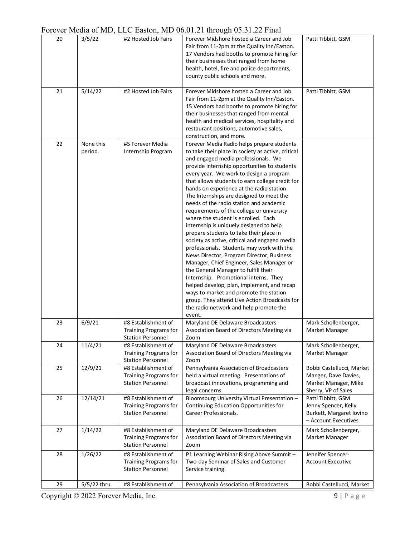|    |                      |                                                                                 | $\mathcal{D}^{\text{max}}$                                                                                                                                                                                                                                                                                                                                                                                                                                                                                                                                                                                                                                                                                                                                                                                                                                                                                                                                                                                                                                                |                                                                                                  |
|----|----------------------|---------------------------------------------------------------------------------|---------------------------------------------------------------------------------------------------------------------------------------------------------------------------------------------------------------------------------------------------------------------------------------------------------------------------------------------------------------------------------------------------------------------------------------------------------------------------------------------------------------------------------------------------------------------------------------------------------------------------------------------------------------------------------------------------------------------------------------------------------------------------------------------------------------------------------------------------------------------------------------------------------------------------------------------------------------------------------------------------------------------------------------------------------------------------|--------------------------------------------------------------------------------------------------|
| 20 | 3/5/22               | #2 Hosted Job Fairs                                                             | Forever Midshore hosted a Career and Job<br>Fair from 11-2pm at the Quality Inn/Easton.<br>17 Vendors had booths to promote hiring for<br>their businesses that ranged from home<br>health, hotel, fire and police departments,<br>county public schools and more.                                                                                                                                                                                                                                                                                                                                                                                                                                                                                                                                                                                                                                                                                                                                                                                                        | Patti Tibbitt, GSM                                                                               |
| 21 | 5/14/22              | #2 Hosted Job Fairs                                                             | Forever Midshore hosted a Career and Job<br>Fair from 11-2pm at the Quality Inn/Easton.<br>15 Vendors had booths to promote hiring for<br>their businesses that ranged from mental<br>health and medical services, hospitality and<br>restaurant positions, automotive sales,<br>construction, and more.                                                                                                                                                                                                                                                                                                                                                                                                                                                                                                                                                                                                                                                                                                                                                                  | Patti Tibbitt, GSM                                                                               |
| 22 | None this<br>period. | #5 Forever Media<br>Internship Program                                          | Forever Media Radio helps prepare students<br>to take their place in society as active, critical<br>and engaged media professionals. We<br>provide internship opportunities to students<br>every year. We work to design a program<br>that allows students to earn college credit for<br>hands on experience at the radio station.<br>The Internships are designed to meet the<br>needs of the radio station and academic<br>requirements of the college or university<br>where the student is enrolled. Each<br>internship is uniquely designed to help<br>prepare students to take their place in<br>society as active, critical and engaged media<br>professionals. Students may work with the<br>News Director, Program Director, Business<br>Manager, Chief Engineer, Sales Manager or<br>the General Manager to fulfill their<br>Internship. Promotional interns. They<br>helped develop, plan, implement, and recap<br>ways to market and promote the station<br>group. They attend Live Action Broadcasts for<br>the radio network and help promote the<br>event. |                                                                                                  |
| 23 | 6/9/21               | #8 Establishment of<br><b>Training Programs for</b><br>Station Personnel        | Maryland DE Delaware Broadcasters<br>Association Board of Directors Meeting via<br>Zoom                                                                                                                                                                                                                                                                                                                                                                                                                                                                                                                                                                                                                                                                                                                                                                                                                                                                                                                                                                                   | Mark Schollenberger,<br>Market Manager                                                           |
| 24 | 11/4/21              | #8 Establishment of<br><b>Training Programs for</b><br><b>Station Personnel</b> | Maryland DE Delaware Broadcasters<br>Association Board of Directors Meeting via<br>Zoom                                                                                                                                                                                                                                                                                                                                                                                                                                                                                                                                                                                                                                                                                                                                                                                                                                                                                                                                                                                   | Mark Schollenberger,<br>Market Manager                                                           |
| 25 | 12/9/21              | #8 Establishment of<br><b>Training Programs for</b><br><b>Station Personnel</b> | Pennsylvania Association of Broadcasters<br>held a virtual meeting. Presentations of<br>broadcast innovations, programming and<br>legal concerns.                                                                                                                                                                                                                                                                                                                                                                                                                                                                                                                                                                                                                                                                                                                                                                                                                                                                                                                         | Bobbi Castellucci, Market<br>Manger, Dave Davies,<br>Market Manager, Mike<br>Sherry, VP of Sales |
| 26 | 12/14/21             | #8 Establishment of<br><b>Training Programs for</b><br><b>Station Personnel</b> | Bloomsburg University Virtual Presentation -<br>Continuing Education Opportunities for<br><b>Career Professionals.</b>                                                                                                                                                                                                                                                                                                                                                                                                                                                                                                                                                                                                                                                                                                                                                                                                                                                                                                                                                    | Patti Tibbitt, GSM<br>Jenny Spencer, Kelly<br>Burkett, Margaret Iovino<br>- Account Executives   |
| 27 | 1/14/22              | #8 Establishment of<br><b>Training Programs for</b><br><b>Station Personnel</b> | Maryland DE Delaware Broadcasters<br>Association Board of Directors Meeting via<br>Zoom                                                                                                                                                                                                                                                                                                                                                                                                                                                                                                                                                                                                                                                                                                                                                                                                                                                                                                                                                                                   | Mark Schollenberger,<br>Market Manager                                                           |
| 28 | 1/26/22              | #8 Establishment of<br><b>Training Programs for</b><br><b>Station Personnel</b> | P1 Learning Webinar Rising Above Summit -<br>Two-day Seminar of Sales and Customer<br>Service training.                                                                                                                                                                                                                                                                                                                                                                                                                                                                                                                                                                                                                                                                                                                                                                                                                                                                                                                                                                   | Jennifer Spencer-<br><b>Account Executive</b>                                                    |
| 29 | 5/5/22 thru          | #8 Establishment of                                                             | Pennsylvania Association of Broadcasters                                                                                                                                                                                                                                                                                                                                                                                                                                                                                                                                                                                                                                                                                                                                                                                                                                                                                                                                                                                                                                  | Bobbi Castellucci, Market                                                                        |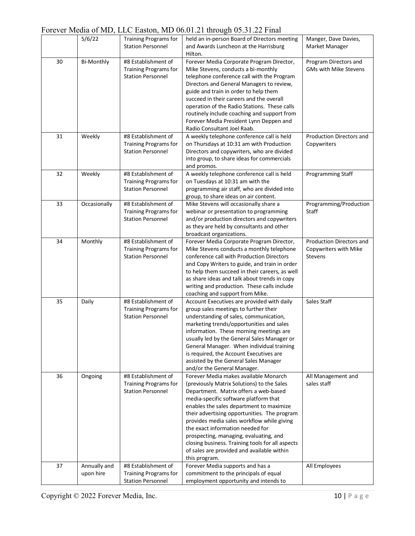## Forever Media of MD, LLC Easton, MD 06.01.21 through 05.31.22 Final

|    |                   |                                                          | $10000$ model of $MD$ , the Euston, mp $00001$ . The unough $0001$ . The $1000$ |                          |
|----|-------------------|----------------------------------------------------------|---------------------------------------------------------------------------------|--------------------------|
|    | 5/6/22            | <b>Training Programs for</b><br><b>Station Personnel</b> | held an in-person Board of Directors meeting                                    | Manger, Dave Davies,     |
|    |                   |                                                          | and Awards Luncheon at the Harrisburg<br>Hilton.                                | Market Manager           |
| 30 | <b>Bi-Monthly</b> | #8 Establishment of                                      | Forever Media Corporate Program Director,                                       | Program Directors and    |
|    |                   | <b>Training Programs for</b>                             | Mike Stevens, conducts a bi-monthly                                             | GMs with Mike Stevens    |
|    |                   | <b>Station Personnel</b>                                 | telephone conference call with the Program                                      |                          |
|    |                   |                                                          | Directors and General Managers to review,                                       |                          |
|    |                   |                                                          | guide and train in order to help them                                           |                          |
|    |                   |                                                          | succeed in their careers and the overall                                        |                          |
|    |                   |                                                          | operation of the Radio Stations. These calls                                    |                          |
|    |                   |                                                          | routinely include coaching and support from                                     |                          |
|    |                   |                                                          | Forever Media President Lynn Deppen and                                         |                          |
|    |                   |                                                          | Radio Consultant Joel Raab.                                                     |                          |
| 31 | Weekly            | #8 Establishment of                                      | A weekly telephone conference call is held                                      | Production Directors and |
|    |                   | <b>Training Programs for</b>                             | on Thursdays at 10:31 am with Production                                        | Copywriters              |
|    |                   | <b>Station Personnel</b>                                 | Directors and copywriters, who are divided                                      |                          |
|    |                   |                                                          | into group, to share ideas for commercials                                      |                          |
|    |                   |                                                          | and promos.                                                                     |                          |
| 32 | Weekly            | #8 Establishment of                                      | A weekly telephone conference call is held                                      | Programming Staff        |
|    |                   | <b>Training Programs for</b>                             | on Tuesdays at 10:31 am with the                                                |                          |
|    |                   | <b>Station Personnel</b>                                 | programming air staff, who are divided into                                     |                          |
|    |                   |                                                          | group, to share ideas on air content.                                           |                          |
| 33 | Occasionally      | #8 Establishment of                                      | Mike Stevens will occasionally share a                                          | Programming/Production   |
|    |                   | <b>Training Programs for</b>                             | webinar or presentation to programming                                          | Staff                    |
|    |                   | <b>Station Personnel</b>                                 | and/or production directors and copywriters                                     |                          |
|    |                   |                                                          | as they are held by consultants and other                                       |                          |
|    |                   |                                                          | broadcast organizations.                                                        |                          |
| 34 | Monthly           | #8 Establishment of                                      | Forever Media Corporate Program Director,                                       | Production Directors and |
|    |                   | <b>Training Programs for</b>                             | Mike Stevens conducts a monthly telephone                                       | Copywriters with Mike    |
|    |                   | <b>Station Personnel</b>                                 | conference call with Production Directors                                       | <b>Stevens</b>           |
|    |                   |                                                          | and Copy Writers to guide, and train in order                                   |                          |
|    |                   |                                                          | to help them succeed in their careers, as well                                  |                          |
|    |                   |                                                          | as share ideas and talk about trends in copy                                    |                          |
|    |                   |                                                          | writing and production. These calls include                                     |                          |
|    |                   |                                                          | coaching and support from Mike.                                                 |                          |
| 35 | Daily             | #8 Establishment of                                      | Account Executives are provided with daily                                      | Sales Staff              |
|    |                   | <b>Training Programs for</b>                             | group sales meetings to further their                                           |                          |
|    |                   | <b>Station Personnel</b>                                 | understanding of sales, communication,                                          |                          |
|    |                   |                                                          | marketing trends/opportunities and sales                                        |                          |
|    |                   |                                                          | information. These morning meetings are                                         |                          |
|    |                   |                                                          | usually led by the General Sales Manager or                                     |                          |
|    |                   |                                                          | General Manager. When individual training                                       |                          |
|    |                   |                                                          | is required, the Account Executives are                                         |                          |
|    |                   |                                                          | assisted by the General Sales Manager                                           |                          |
|    |                   |                                                          | and/or the General Manager.                                                     |                          |
| 36 | Ongoing           | #8 Establishment of                                      | Forever Media makes available Monarch                                           | All Management and       |
|    |                   | <b>Training Programs for</b>                             | (previously Matrix Solutions) to the Sales                                      | sales staff              |
|    |                   | <b>Station Personnel</b>                                 | Department. Matrix offers a web-based                                           |                          |
|    |                   |                                                          | media-specific software platform that                                           |                          |
|    |                   |                                                          | enables the sales department to maximize                                        |                          |
|    |                   |                                                          | their advertising opportunities. The program                                    |                          |
|    |                   |                                                          | provides media sales workflow while giving                                      |                          |
|    |                   |                                                          | the exact information needed for                                                |                          |
|    |                   |                                                          | prospecting, managing, evaluating, and                                          |                          |
|    |                   |                                                          | closing business. Training tools for all aspects                                |                          |
|    |                   |                                                          | of sales are provided and available within                                      |                          |
|    |                   |                                                          | this program.                                                                   |                          |
| 37 | Annually and      | #8 Establishment of                                      | Forever Media supports and has a                                                | All Employees            |
|    | upon hire         | <b>Training Programs for</b>                             | commitment to the principals of equal                                           |                          |
|    |                   | <b>Station Personnel</b>                                 | employment opportunity and intends to                                           |                          |
|    |                   |                                                          |                                                                                 |                          |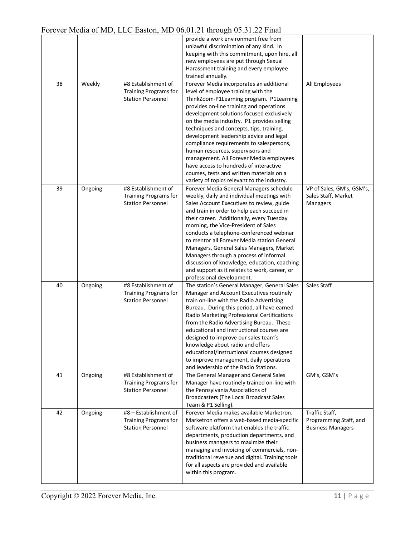|    |         |                              | T OLOVEL IVICENT OF IVILY, LELLY LASTON, IVILY VOLVILLE I HILOUGH VOLVILLE I HIM |                           |
|----|---------|------------------------------|----------------------------------------------------------------------------------|---------------------------|
|    |         |                              | provide a work environment free from                                             |                           |
|    |         |                              | unlawful discrimination of any kind. In                                          |                           |
|    |         |                              | keeping with this commitment, upon hire, all                                     |                           |
|    |         |                              | new employees are put through Sexual                                             |                           |
|    |         |                              | Harassment training and every employee                                           |                           |
|    |         |                              |                                                                                  |                           |
|    |         |                              | trained annually.                                                                |                           |
| 38 | Weekly  | #8 Establishment of          | Forever Media incorporates an additional                                         | All Employees             |
|    |         | <b>Training Programs for</b> | level of employee training with the                                              |                           |
|    |         | <b>Station Personnel</b>     | ThinkZoom-P1Learning program. P1Learning                                         |                           |
|    |         |                              | provides on-line training and operations                                         |                           |
|    |         |                              | development solutions focused exclusively                                        |                           |
|    |         |                              | on the media industry. P1 provides selling                                       |                           |
|    |         |                              |                                                                                  |                           |
|    |         |                              | techniques and concepts, tips, training,                                         |                           |
|    |         |                              | development leadership advice and legal                                          |                           |
|    |         |                              | compliance requirements to salespersons,                                         |                           |
|    |         |                              | human resources, supervisors and                                                 |                           |
|    |         |                              | management. All Forever Media employees                                          |                           |
|    |         |                              | have access to hundreds of interactive                                           |                           |
|    |         |                              | courses, tests and written materials on a                                        |                           |
|    |         |                              | variety of topics relevant to the industry.                                      |                           |
|    |         |                              |                                                                                  |                           |
| 39 | Ongoing | #8 Establishment of          | Forever Media General Managers schedule                                          | VP of Sales, GM's, GSM's, |
|    |         | <b>Training Programs for</b> | weekly, daily and individual meetings with                                       | Sales Staff, Market       |
|    |         | <b>Station Personnel</b>     | Sales Account Executives to review, guide                                        | Managers                  |
|    |         |                              | and train in order to help each succeed in                                       |                           |
|    |         |                              | their career. Additionally, every Tuesday                                        |                           |
|    |         |                              | morning, the Vice-President of Sales                                             |                           |
|    |         |                              | conducts a telephone-conferenced webinar                                         |                           |
|    |         |                              | to mentor all Forever Media station General                                      |                           |
|    |         |                              | Managers, General Sales Managers, Market                                         |                           |
|    |         |                              | Managers through a process of informal                                           |                           |
|    |         |                              | discussion of knowledge, education, coaching                                     |                           |
|    |         |                              |                                                                                  |                           |
|    |         |                              | and support as it relates to work, career, or                                    |                           |
|    |         |                              | professional development.                                                        |                           |
| 40 | Ongoing | #8 Establishment of          | The station's General Manager, General Sales                                     | Sales Staff               |
|    |         | <b>Training Programs for</b> | Manager and Account Executives routinely                                         |                           |
|    |         | <b>Station Personnel</b>     | train on-line with the Radio Advertising                                         |                           |
|    |         |                              | Bureau. During this period, all have earned                                      |                           |
|    |         |                              | Radio Marketing Professional Certifications                                      |                           |
|    |         |                              | from the Radio Advertising Bureau. These                                         |                           |
|    |         |                              | educational and instructional courses are                                        |                           |
|    |         |                              | designed to improve our sales team's                                             |                           |
|    |         |                              | knowledge about radio and offers                                                 |                           |
|    |         |                              |                                                                                  |                           |
|    |         |                              | educational/instructional courses designed                                       |                           |
|    |         |                              | to improve management, daily operations                                          |                           |
|    |         |                              | and leadership of the Radio Stations.                                            |                           |
| 41 | Ongoing | #8 Establishment of          | The General Manager and General Sales                                            | GM's, GSM's               |
|    |         | <b>Training Programs for</b> | Manager have routinely trained on-line with                                      |                           |
|    |         | <b>Station Personnel</b>     | the Pennsylvania Associations of                                                 |                           |
|    |         |                              | Broadcasters (The Local Broadcast Sales                                          |                           |
|    |         |                              | Team & P1 Selling).                                                              |                           |
| 42 | Ongoing | #8 - Establishment of        | Forever Media makes available Marketron.                                         | Traffic Staff,            |
|    |         | <b>Training Programs for</b> | Marketron offers a web-based media-specific                                      | Programming Staff, and    |
|    |         | <b>Station Personnel</b>     | software platform that enables the traffic                                       | <b>Business Managers</b>  |
|    |         |                              |                                                                                  |                           |
|    |         |                              | departments, production departments, and                                         |                           |
|    |         |                              | business managers to maximize their                                              |                           |
|    |         |                              | managing and invoicing of commercials, non-                                      |                           |
|    |         |                              |                                                                                  |                           |
|    |         |                              | traditional revenue and digital. Training tools                                  |                           |
|    |         |                              | for all aspects are provided and available                                       |                           |
|    |         |                              | within this program.                                                             |                           |